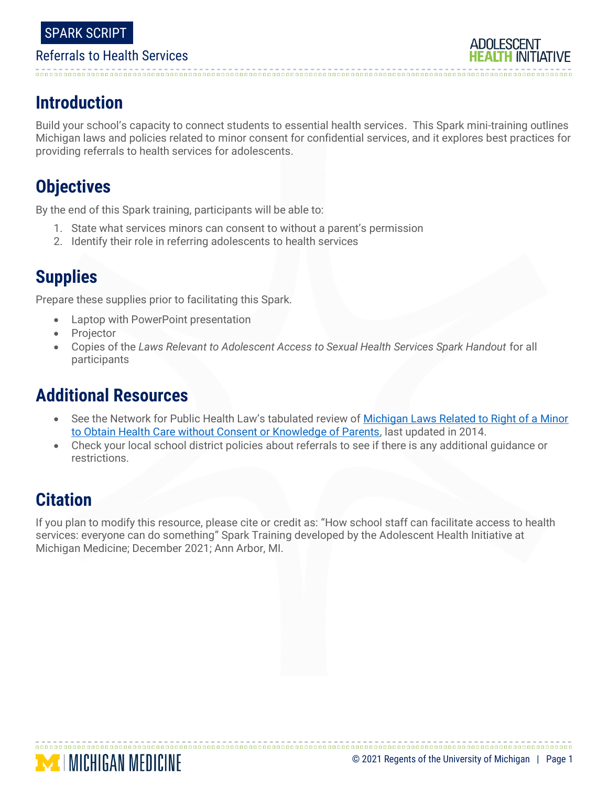

## **Introduction**

Build your school's capacity to connect students to essential health services. This Spark mini-training outlines Michigan laws and policies related to minor consent for confidential services, and it explores best practices for providing referrals to health services for adolescents.

## **Objectives**

By the end of this Spark training, participants will be able to:

- 1. State what services minors can consent to without a parent's permission
- 2. Identify their role in referring adolescents to health services

# **Supplies**

Prepare these supplies prior to facilitating this Spark.

- Laptop with PowerPoint presentation
- **Projector**
- Copies of the *Laws Relevant to Adolescent Access to Sexual Health Services Spark Handout* for all participants

## **Additional Resources**

- See the Network for Public Health Law's tabulated review of [Michigan Laws Related to Right of a Minor](https://www.networkforphl.org/_asset/kbctjq/MinorsPrivacy.pdf)  [to Obtain Health Care without Consent or Knowledge of Parents,](https://www.networkforphl.org/_asset/kbctjq/MinorsPrivacy.pdf) last updated in 2014.
- Check your local school district policies about referrals to see if there is any additional guidance or restrictions.

## **Citation**

If you plan to modify this resource, please cite or credit as: "How school staff can facilitate access to health services: everyone can do something" Spark Training developed by the Adolescent Health Initiative at Michigan Medicine; December 2021; Ann Arbor, MI.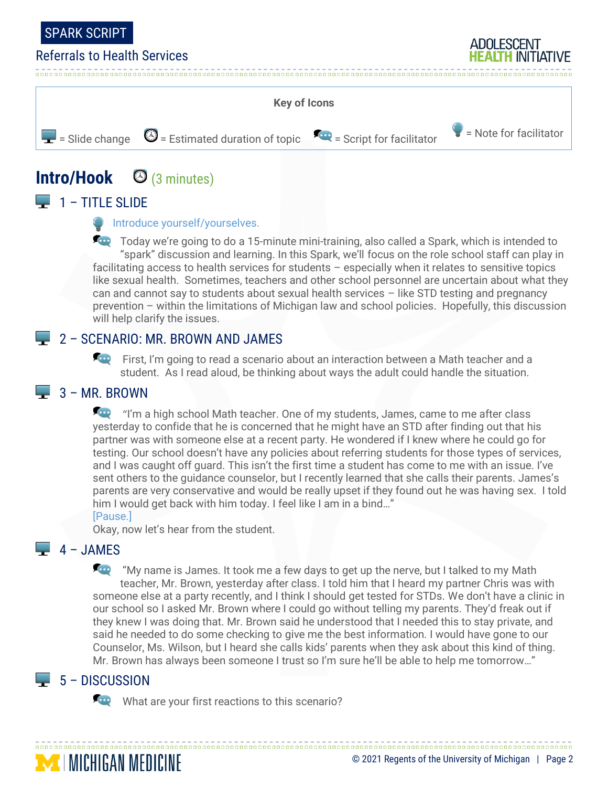

**ADOLESCENT** 



# **Intro/Hook** (3 minutes)

## $\Box$  1 – TITLE SLIDE

#### **Introduce yourself/yourselves.**

Today we're going to do a 15-minute mini-training, also called a Spark, which is intended to "spark" discussion and learning. In this Spark, we'll focus on the role school staff can play in facilitating access to health services for students – especially when it relates to sensitive topics like sexual health. Sometimes, teachers and other school personnel are uncertain about what they can and cannot say to students about sexual health services – like STD testing and pregnancy prevention – within the limitations of Michigan law and school policies. Hopefully, this discussion will help clarify the issues.

## **2 - SCENARIO: MR. BROWN AND JAMES**

First, I'm going to read a scenario about an interaction between a Math teacher and a student. As I read aloud, be thinking about ways the adult could handle the situation.

### $\Box$  3 – MR. BROWN

**The** "I'm a high school Math teacher. One of my students, James, came to me after class yesterday to confide that he is concerned that he might have an STD after finding out that his partner was with someone else at a recent party. He wondered if I knew where he could go for testing. Our school doesn't have any policies about referring students for those types of services, and I was caught off guard. This isn't the first time a student has come to me with an issue. I've sent others to the guidance counselor, but I recently learned that she calls their parents. James's parents are very conservative and would be really upset if they found out he was having sex. I told him I would get back with him today. I feel like I am in a bind…"

#### [Pause.]

Okay, now let's hear from the student.

## $-4 - JAMES$

**The "**My name is James. It took me a few days to get up the nerve, but I talked to my Math teacher, Mr. Brown, yesterday after class. I told him that I heard my partner Chris was with someone else at a party recently, and I think I should get tested for STDs. We don't have a clinic in our school so I asked Mr. Brown where I could go without telling my parents. They'd freak out if they knew I was doing that. Mr. Brown said he understood that I needed this to stay private, and said he needed to do some checking to give me the best information. I would have gone to our Counselor, Ms. Wilson, but I heard she calls kids' parents when they ask about this kind of thing. Mr. Brown has always been someone I trust so I'm sure he'll be able to help me tomorrow…"

## $\Box$  5 – DISCUSSION

**MENGAN MEDICINE** 

What are your first reactions to this scenario?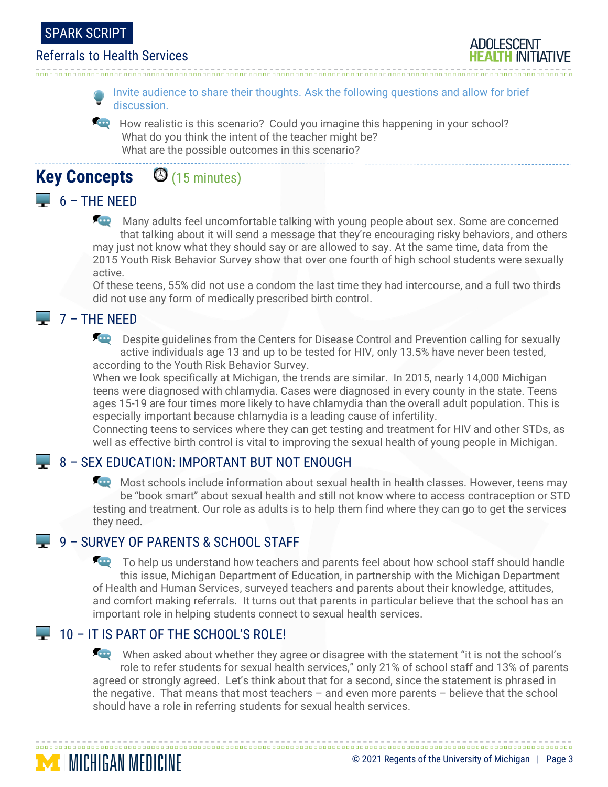



Invite audience to share their thoughts. Ask the following questions and allow for brief discussion.

How realistic is this scenario? Could you imagine this happening in your school? What do you think the intent of the teacher might be? What are the possible outcomes in this scenario?

# **Key Concepts** (15 minutes)

## $\Box$  6 – THE NEED

Many adults feel uncomfortable talking with young people about sex. Some are concerned that talking about it will send a message that they're encouraging risky behaviors, and others may just not know what they should say or are allowed to say. At the same time, data from the 2015 Youth Risk Behavior Survey show that over one fourth of high school students were sexually active.

Of these teens, 55% did not use a condom the last time they had intercourse, and a full two thirds did not use any form of medically prescribed birth control.

## 7 – THE NEED

**Despite guidelines from the Centers for Disease Control and Prevention calling for sexually** active individuals age 13 and up to be tested for HIV, only 13.5% have never been tested, according to the Youth Risk Behavior Survey.

When we look specifically at Michigan, the trends are similar. In 2015, nearly 14,000 Michigan teens were diagnosed with chlamydia. Cases were diagnosed in every county in the state. Teens ages 15-19 are four times more likely to have chlamydia than the overall adult population. This is especially important because chlamydia is a leading cause of infertility.

Connecting teens to services where they can get testing and treatment for HIV and other STDs, as well as effective birth control is vital to improving the sexual health of young people in Michigan.

## **8 – SEX EDUCATION: IMPORTANT BUT NOT ENOUGH**

Most schools include information about sexual health in health classes. However, teens may be "book smart" about sexual health and still not know where to access contraception or STD testing and treatment. Our role as adults is to help them find where they can go to get the services they need.

## 9 – SURVEY OF PARENTS & SCHOOL STAFF

To help us understand how teachers and parents feel about how school staff should handle this issue, Michigan Department of Education, in partnership with the Michigan Department of Health and Human Services, surveyed teachers and parents about their knowledge, attitudes, and comfort making referrals. It turns out that parents in particular believe that the school has an important role in helping students connect to sexual health services.

## 10 – IT IS PART OF THE SCHOOL'S ROLE!

**MINICHIGAN MEDICINE** 

When asked about whether they agree or disagree with the statement "it is not the school's role to refer students for sexual health services," only 21% of school staff and 13% of parents agreed or strongly agreed. Let's think about that for a second, since the statement is phrased in the negative. That means that most teachers – and even more parents – believe that the school should have a role in referring students for sexual health services.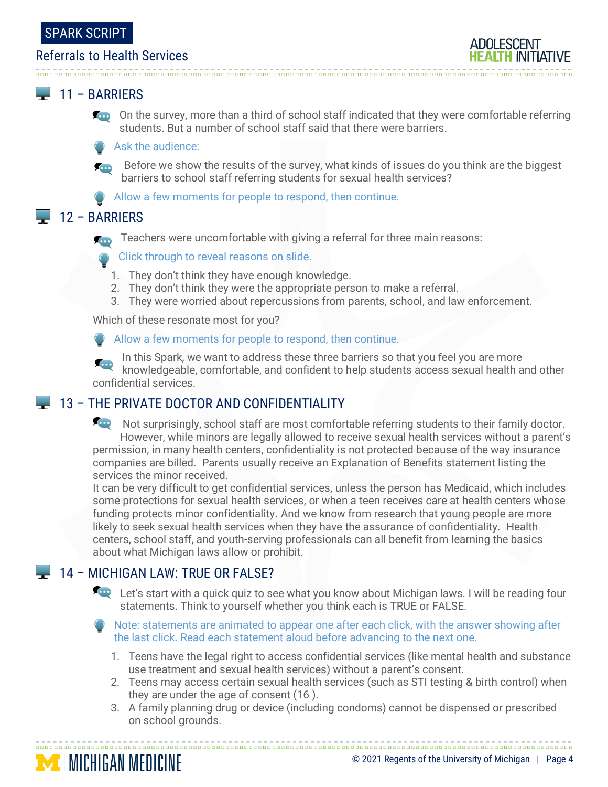### $\Box$  11 – BARRIERS

**Con** On the survey, more than a third of school staff indicated that they were comfortable referring students. But a number of school staff said that there were barriers.

#### Ask the audience:

Before we show the results of the survey, what kinds of issues do you think are the biggest barriers to school staff referring students for sexual health services?

**Allow a few moments for people to respond, then continue.** 

### $12 - BARRIERS$

Teachers were uncomfortable with giving a referral for three main reasons: **COL** 

Click through to reveal reasons on slide.

- 1. They don't think they have enough knowledge.
- 2. They don't think they were the appropriate person to make a referral.
- 3. They were worried about repercussions from parents, school, and law enforcement.

Which of these resonate most for you?

Allow a few moments for people to respond, then continue.

In this Spark, we want to address these three barriers so that you feel you are more knowledgeable, comfortable, and confident to help students access sexual health and other confidential services.

## 13 – THE PRIVATE DOCTOR AND CONFIDENTIALITY

Not surprisingly, school staff are most comfortable referring students to their family doctor. However, while minors are legally allowed to receive sexual health services without a parent's permission, in many health centers, confidentiality is not protected because of the way insurance companies are billed. Parents usually receive an Explanation of Benefits statement listing the services the minor received.

It can be very difficult to get confidential services, unless the person has Medicaid, which includes some protections for sexual health services, or when a teen receives care at health centers whose funding protects minor confidentiality. And we know from research that young people are more likely to seek sexual health services when they have the assurance of confidentiality. Health centers, school staff, and youth-serving professionals can all benefit from learning the basics about what Michigan laws allow or prohibit.

## 14 – MICHIGAN LAW: TRUE OR FALSE?

**Let's start with a quick quiz to see what you know about Michigan laws.** I will be reading four statements. Think to yourself whether you think each is TRUE or FALSE.

Note: statements are animated to appear one after each click, with the answer showing after the last click. Read each statement aloud before advancing to the next one.

- 1. Teens have the legal right to access confidential services (like mental health and substance use treatment and sexual health services) without a parent's consent.
- 2. Teens may access certain sexual health services (such as STI testing & birth control) when they are under the age of consent (16 ).
- 3. A family planning drug or device (including condoms) cannot be dispensed or prescribed on school grounds.

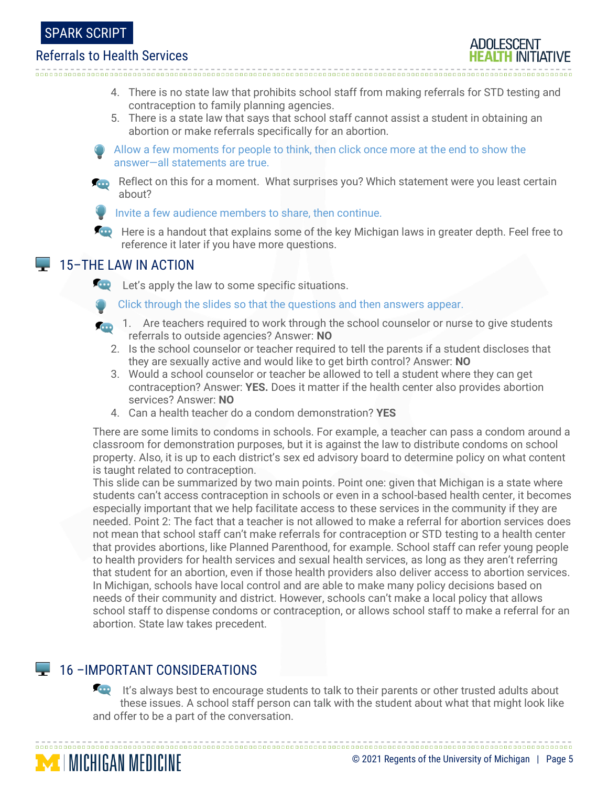#### SPARK SCRIPT

#### Referrals to Health Services

- 4. There is no state law that prohibits school staff from making referrals for STD testing and contraception to family planning agencies.
- 5. There is a state law that says that school staff cannot assist a student in obtaining an abortion or make referrals specifically for an abortion.

Allow a few moments for people to think, then click once more at the end to show the answer—all statements are true.



Reflect on this for a moment. What surprises you? Which statement were you least certain about?



Invite a few audience members to share, then continue.

**For** Here is a handout that explains some of the key Michigan laws in greater depth. Feel free to reference it later if you have more questions.

#### **15–THE LAW IN ACTION**

**Let's apply the law to some specific situations.** 

- Click through the slides so that the questions and then answers appear.
- 1. Are teachers required to work through the school counselor or nurse to give students referrals to outside agencies? Answer: **NO**
	- 2. Is the school counselor or teacher required to tell the parents if a student discloses that they are sexually active and would like to get birth control? Answer: **NO**
	- 3. Would a school counselor or teacher be allowed to tell a student where they can get contraception? Answer: **YES.** Does it matter if the health center also provides abortion services? Answer: **NO**
	- 4. Can a health teacher do a condom demonstration? **YES**

There are some limits to condoms in schools. For example, a teacher can pass a condom around a classroom for demonstration purposes, but it is against the law to distribute condoms on school property. Also, it is up to each district's sex ed advisory board to determine policy on what content is taught related to contraception.

This slide can be summarized by two main points. Point one: given that Michigan is a state where students can't access contraception in schools or even in a school-based health center, it becomes especially important that we help facilitate access to these services in the community if they are needed. Point 2: The fact that a teacher is not allowed to make a referral for abortion services does not mean that school staff can't make referrals for contraception or STD testing to a health center that provides abortions, like Planned Parenthood, for example. School staff can refer young people to health providers for health services and sexual health services, as long as they aren't referring that student for an abortion, even if those health providers also deliver access to abortion services. In Michigan, schools have local control and are able to make many policy decisions based on needs of their community and district. However, schools can't make a local policy that allows school staff to dispense condoms or contraception, or allows school staff to make a referral for an abortion. State law takes precedent.

## **16 – IMPORTANT CONSIDERATIONS**

**MINICHIGAN MEDICINE** 

**For** It's always best to encourage students to talk to their parents or other trusted adults about these issues. A school staff person can talk with the student about what that might look like and offer to be a part of the conversation.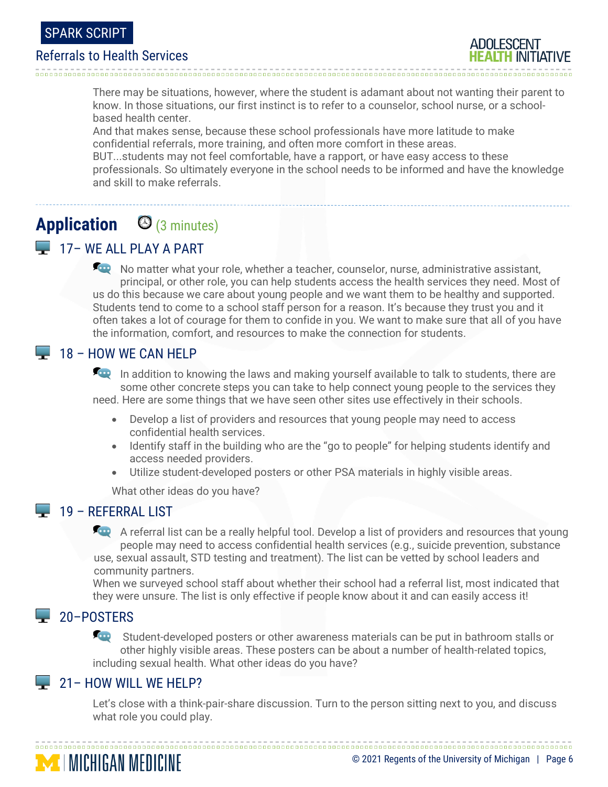

**ADOLESCENT** 

> There may be situations, however, where the student is adamant about not wanting their parent to know. In those situations, our first instinct is to refer to a counselor, school nurse, or a schoolbased health center.

And that makes sense, because these school professionals have more latitude to make confidential referrals, more training, and often more comfort in these areas.

BUT...students may not feel comfortable, have a rapport, or have easy access to these professionals. So ultimately everyone in the school needs to be informed and have the knowledge and skill to make referrals.

# **Application** (3 minutes)

## 17 – WE ALL PLAY A PART

No matter what your role, whether a teacher, counselor, nurse, administrative assistant, principal, or other role, you can help students access the health services they need. Most of us do this because we care about young people and we want them to be healthy and supported. Students tend to come to a school staff person for a reason. It's because they trust you and it often takes a lot of courage for them to confide in you. We want to make sure that all of you have the information, comfort, and resources to make the connection for students.

## $\Box$  18 – HOW WE CAN HELP

In addition to knowing the laws and making yourself available to talk to students, there are some other concrete steps you can take to help connect young people to the services they need. Here are some things that we have seen other sites use effectively in their schools.

- Develop a list of providers and resources that young people may need to access confidential health services.
- Identify staff in the building who are the "go to people" for helping students identify and access needed providers.
- Utilize student-developed posters or other PSA materials in highly visible areas.

What other ideas do you have?

## $19$  – REFERRAL LIST

A referral list can be a really helpful tool. Develop a list of providers and resources that young people may need to access confidential health services (e.g., suicide prevention, substance use, sexual assault, STD testing and treatment). The list can be vetted by school leaders and community partners.

When we surveyed school staff about whether their school had a referral list, most indicated that they were unsure. The list is only effective if people know about it and can easily access it!

## 20-POSTERS

Student-developed posters or other awareness materials can be put in bathroom stalls or other highly visible areas. These posters can be about a number of health-related topics, including sexual health. What other ideas do you have?

## 21– HOW WILL WE HELP?

**MINICHIGAN MEDICINE** 

Let's close with a think-pair-share discussion. Turn to the person sitting next to you, and discuss what role you could play.